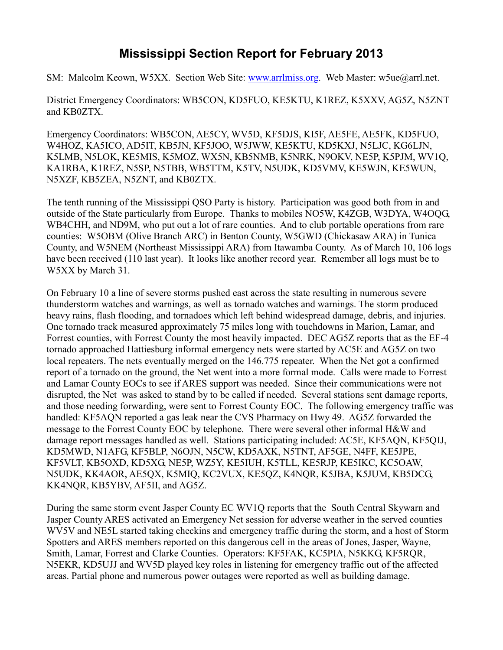## **Mississippi Section Report for February 2013**

SM: Malcolm Keown, W5XX. Section Web Site: [www.arrlmiss.org.](http://www.arrlmiss.org/) Web Master: w5ue@arrl.net.

District Emergency Coordinators: WB5CON, KD5FUO, KE5KTU, K1REZ, K5XXV, AG5Z, N5ZNT and KB0ZTX.

Emergency Coordinators: WB5CON, AE5CY, WV5D, KF5DJS, KI5F, AE5FE, AE5FK, KD5FUO, W4HOZ, KA5ICO, AD5IT, KB5JN, KF5JOO, W5JWW, KE5KTU, KD5KXJ, N5LJC, KG6LJN, K5LMB, N5LOK, KE5MIS, K5MOZ, WX5N, KB5NMB, K5NRK, N9OKV, NE5P, K5PJM, WV1Q, KA1RBA, K1REZ, N5SP, N5TBB, WB5TTM, K5TV, N5UDK, KD5VMV, KE5WJN, KE5WUN, N5XZF, KB5ZEA, N5ZNT, and KB0ZTX.

The tenth running of the Mississippi QSO Party is history. Participation was good both from in and outside of the State particularly from Europe. Thanks to mobiles NO5W, K4ZGB, W3DYA, W4OQG, WB4CHH, and ND9M, who put out a lot of rare counties. And to club portable operations from rare counties: W5OBM (Olive Branch ARC) in Benton County, W5GWD (Chickasaw ARA) in Tunica County, and W5NEM (Northeast Mississippi ARA) from Itawamba County. As of March 10, 106 logs have been received (110 last year). It looks like another record year. Remember all logs must be to W5XX by March 31.

On February 10 a line of severe storms pushed east across the state resulting in numerous severe thunderstorm watches and warnings, as well as tornado watches and warnings. The storm produced heavy rains, flash flooding, and tornadoes which left behind widespread damage, debris, and injuries. One tornado track measured approximately 75 miles long with touchdowns in Marion, Lamar, and Forrest counties, with Forrest County the most heavily impacted. DEC AG5Z reports that as the EF-4 tornado approached Hattiesburg informal emergency nets were started by AC5E and AG5Z on two local repeaters. The nets eventually merged on the 146.775 repeater. When the Net got a confirmed report of a tornado on the ground, the Net went into a more formal mode. Calls were made to Forrest and Lamar County EOCs to see if ARES support was needed. Since their communications were not disrupted, the Net was asked to stand by to be called if needed. Several stations sent damage reports, and those needing forwarding, were sent to Forrest County EOC. The following emergency traffic was handled: KF5AQN reported a gas leak near the CVS Pharmacy on Hwy 49. AG5Z forwarded the message to the Forrest County EOC by telephone. There were several other informal H&W and damage report messages handled as well. Stations participating included: AC5E, KF5AQN, KF5QIJ, KD5MWD, N1AFG, KF5BLP, N6OJN, N5CW, KD5AXK, N5TNT, AF5GE, N4FF, KE5JPE, KF5VLT, KB5OXD, KD5XG, NE5P, WZ5Y, KE5IUH, K5TLL, KE5RJP, KE5IKC, KC5OAW, N5UDK, KK4AOR, AE5QX, K5MIQ, KC2VUX, KE5QZ, K4NQR, K5JBA, K5JUM, KB5DCG, KK4NQR, KB5YBV, AF5II, and AG5Z.

During the same storm event Jasper County EC WV1Q reports that the South Central Skywarn and Jasper County ARES activated an Emergency Net session for adverse weather in the served counties WV5V and NE5L started taking checkins and emergency traffic during the storm, and a host of Storm Spotters and ARES members reported on this dangerous cell in the areas of Jones, Jasper, Wayne, Smith, Lamar, Forrest and Clarke Counties. Operators: KF5FAK, KC5PIA, N5KKG, KF5RQR, N5EKR, KD5UJJ and WV5D played key roles in listening for emergency traffic out of the affected areas. Partial phone and numerous power outages were reported as well as building damage.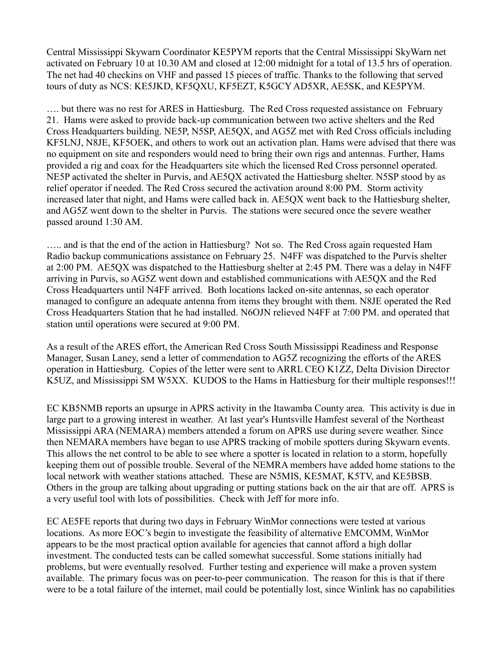Central Mississippi Skywarn Coordinator KE5PYM reports that the Central Mississippi SkyWarn net activated on February 10 at 10.30 AM and closed at 12:00 midnight for a total of 13.5 hrs of operation. The net had 40 checkins on VHF and passed 15 pieces of traffic. Thanks to the following that served tours of duty as NCS: KE5JKD, KF5QXU, KF5EZT, K5GCY AD5XR, AE5SK, and KE5PYM.

…. but there was no rest for ARES in Hattiesburg. The Red Cross requested assistance on February 21. Hams were asked to provide back-up communication between two active shelters and the Red Cross Headquarters building. NE5P, N5SP, AE5QX, and AG5Z met with Red Cross officials including KF5LNJ, N8JE, KF5OEK, and others to work out an activation plan. Hams were advised that there was no equipment on site and responders would need to bring their own rigs and antennas. Further, Hams provided a rig and coax for the Headquarters site which the licensed Red Cross personnel operated. NE5P activated the shelter in Purvis, and AE5QX activated the Hattiesburg shelter. N5SP stood by as relief operator if needed. The Red Cross secured the activation around 8:00 PM. Storm activity increased later that night, and Hams were called back in. AE5QX went back to the Hattiesburg shelter, and AG5Z went down to the shelter in Purvis. The stations were secured once the severe weather passed around 1:30 AM.

….. and is that the end of the action in Hattiesburg? Not so. The Red Cross again requested Ham Radio backup communications assistance on February 25. N4FF was dispatched to the Purvis shelter at 2:00 PM. AE5QX was dispatched to the Hattiesburg shelter at 2:45 PM. There was a delay in N4FF arriving in Purvis, so AG5Z went down and established communications with AE5QX and the Red Cross Headquarters until N4FF arrived. Both locations lacked on-site antennas, so each operator managed to configure an adequate antenna from items they brought with them. N8JE operated the Red Cross Headquarters Station that he had installed. N6OJN relieved N4FF at 7:00 PM. and operated that station until operations were secured at 9:00 PM.

As a result of the ARES effort, the American Red Cross South Mississippi Readiness and Response Manager, Susan Laney, send a letter of commendation to AG5Z recognizing the efforts of the ARES operation in Hattiesburg. Copies of the letter were sent to ARRL CEO K1ZZ, Delta Division Director K5UZ, and Mississippi SM W5XX. KUDOS to the Hams in Hattiesburg for their multiple responses!!!

EC KB5NMB reports an upsurge in APRS activity in the Itawamba County area. This activity is due in large part to a growing interest in weather. At last year's Huntsville Hamfest several of the Northeast Mississippi ARA (NEMARA) members attended a forum on APRS use during severe weather. Since then NEMARA members have began to use APRS tracking of mobile spotters during Skywarn events. This allows the net control to be able to see where a spotter is located in relation to a storm, hopefully keeping them out of possible trouble. Several of the NEMRA members have added home stations to the local network with weather stations attached. These are N5MIS, KE5MAT, K5TV, and KE5BSB. Others in the group are talking about upgrading or putting stations back on the air that are off. APRS is a very useful tool with lots of possibilities. Check with Jeff for more info.

EC AE5FE reports that during two days in February WinMor connections were tested at various locations. As more EOC's begin to investigate the feasibility of alternative EMCOMM, WinMor appears to be the most practical option available for agencies that cannot afford a high dollar investment. The conducted tests can be called somewhat successful. Some stations initially had problems, but were eventually resolved. Further testing and experience will make a proven system available. The primary focus was on peer-to-peer communication. The reason for this is that if there were to be a total failure of the internet, mail could be potentially lost, since Winlink has no capabilities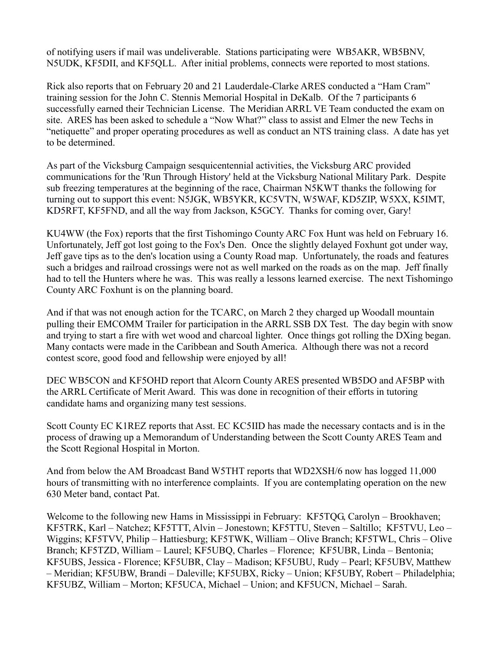of notifying users if mail was undeliverable. Stations participating were WB5AKR, WB5BNV, N5UDK, KF5DII, and KF5QLL. After initial problems, connects were reported to most stations.

Rick also reports that on February 20 and 21 Lauderdale-Clarke ARES conducted a "Ham Cram" training session for the John C. Stennis Memorial Hospital in DeKalb. Of the 7 participants 6 successfully earned their Technician License. The Meridian ARRL VE Team conducted the exam on site. ARES has been asked to schedule a "Now What?" class to assist and Elmer the new Techs in "netiquette" and proper operating procedures as well as conduct an NTS training class. A date has yet to be determined.

As part of the Vicksburg Campaign sesquicentennial activities, the Vicksburg ARC provided communications for the 'Run Through History' held at the Vicksburg National Military Park. Despite sub freezing temperatures at the beginning of the race, Chairman N5KWT thanks the following for turning out to support this event: N5JGK, WB5YKR, KC5VTN, W5WAF, KD5ZIP, W5XX, K5IMT, KD5RFT, KF5FND, and all the way from Jackson, K5GCY. Thanks for coming over, Gary!

KU4WW (the Fox) reports that the first Tishomingo County ARC Fox Hunt was held on February 16. Unfortunately, Jeff got lost going to the Fox's Den. Once the slightly delayed Foxhunt got under way, Jeff gave tips as to the den's location using a County Road map. Unfortunately, the roads and features such a bridges and railroad crossings were not as well marked on the roads as on the map. Jeff finally had to tell the Hunters where he was. This was really a lessons learned exercise. The next Tishomingo County ARC Foxhunt is on the planning board.

And if that was not enough action for the TCARC, on March 2 they charged up Woodall mountain pulling their EMCOMM Trailer for participation in the ARRL SSB DX Test. The day begin with snow and trying to start a fire with wet wood and charcoal lighter. Once things got rolling the DXing began. Many contacts were made in the Caribbean and South America. Although there was not a record contest score, good food and fellowship were enjoyed by all!

DEC WB5CON and KF5OHD report that Alcorn County ARES presented WB5DO and AF5BP with the ARRL Certificate of Merit Award. This was done in recognition of their efforts in tutoring candidate hams and organizing many test sessions.

Scott County EC K1REZ reports that Asst. EC KC5IID has made the necessary contacts and is in the process of drawing up a Memorandum of Understanding between the Scott County ARES Team and the Scott Regional Hospital in Morton.

And from below the AM Broadcast Band W5THT reports that WD2XSH/6 now has logged 11,000 hours of transmitting with no interference complaints. If you are contemplating operation on the new 630 Meter band, contact Pat.

Welcome to the following new Hams in Mississippi in February: KF5TQG, Carolyn – Brookhaven; KF5TRK, Karl – Natchez; KF5TTT, Alvin – Jonestown; KF5TTU, Steven – Saltillo; KF5TVU, Leo – Wiggins; KF5TVV, Philip – Hattiesburg; KF5TWK, William – Olive Branch; KF5TWL, Chris – Olive Branch; KF5TZD, William – Laurel; KF5UBQ, Charles – Florence; KF5UBR, Linda – Bentonia; KF5UBS, Jessica - Florence; KF5UBR, Clay – Madison; KF5UBU, Rudy – Pearl; KF5UBV, Matthew – Meridian; KF5UBW, Brandi – Daleville; KF5UBX, Ricky – Union; KF5UBY, Robert – Philadelphia; KF5UBZ, William – Morton; KF5UCA, Michael – Union; and KF5UCN, Michael – Sarah.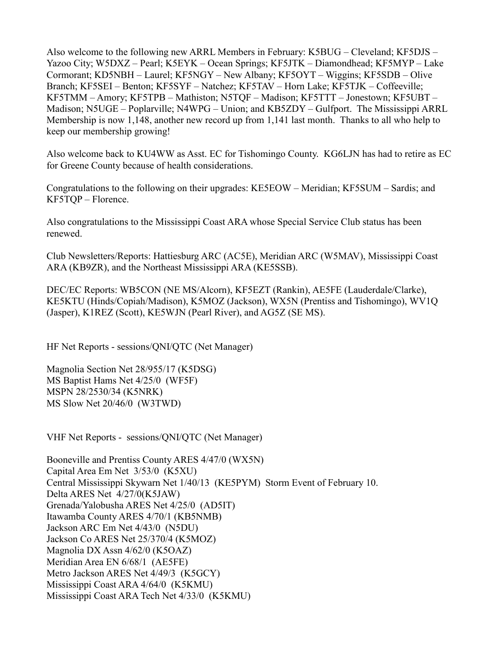Also welcome to the following new ARRL Members in February: K5BUG – Cleveland; KF5DJS – Yazoo City; W5DXZ – Pearl; K5EYK – Ocean Springs; KF5JTK – Diamondhead; KF5MYP – Lake Cormorant; KD5NBH – Laurel; KF5NGY – New Albany; KF5OYT – Wiggins; KF5SDB – Olive Branch; KF5SEI – Benton; KF5SYF – Natchez; KF5TAV – Horn Lake; KF5TJK – Coffeeville; KF5TMM – Amory; KF5TPB – Mathiston; N5TQF – Madison; KF5TTT – Jonestown; KF5UBT – Madison; N5UGE – Poplarville; N4WPG – Union; and KB5ZDY – Gulfport. The Mississippi ARRL Membership is now 1,148, another new record up from 1,141 last month. Thanks to all who help to keep our membership growing!

Also welcome back to KU4WW as Asst. EC for Tishomingo County. KG6LJN has had to retire as EC for Greene County because of health considerations.

Congratulations to the following on their upgrades: KE5EOW – Meridian; KF5SUM – Sardis; and KF5TQP – Florence.

Also congratulations to the Mississippi Coast ARA whose Special Service Club status has been renewed.

Club Newsletters/Reports: Hattiesburg ARC (AC5E), Meridian ARC (W5MAV), Mississippi Coast ARA (KB9ZR), and the Northeast Mississippi ARA (KE5SSB).

DEC/EC Reports: WB5CON (NE MS/Alcorn), KF5EZT (Rankin), AE5FE (Lauderdale/Clarke), KE5KTU (Hinds/Copiah/Madison), K5MOZ (Jackson), WX5N (Prentiss and Tishomingo), WV1Q (Jasper), K1REZ (Scott), KE5WJN (Pearl River), and AG5Z (SE MS).

HF Net Reports - sessions/QNI/QTC (Net Manager)

Magnolia Section Net 28/955/17 (K5DSG) MS Baptist Hams Net 4/25/0 (WF5F) MSPN 28/2530/34 (K5NRK) MS Slow Net 20/46/0 (W3TWD)

VHF Net Reports - sessions/QNI/QTC (Net Manager)

Booneville and Prentiss County ARES 4/47/0 (WX5N) Capital Area Em Net 3/53/0 (K5XU) Central Mississippi Skywarn Net 1/40/13 (KE5PYM) Storm Event of February 10. Delta ARES Net 4/27/0(K5JAW) Grenada/Yalobusha ARES Net 4/25/0 (AD5IT) Itawamba County ARES 4/70/1 (KB5NMB) Jackson ARC Em Net 4/43/0 (N5DU) Jackson Co ARES Net 25/370/4 (K5MOZ) Magnolia DX Assn 4/62/0 (K5OAZ) Meridian Area EN 6/68/1 (AE5FE) Metro Jackson ARES Net 4/49/3 (K5GCY) Mississippi Coast ARA 4/64/0 (K5KMU) Mississippi Coast ARA Tech Net 4/33/0 (K5KMU)